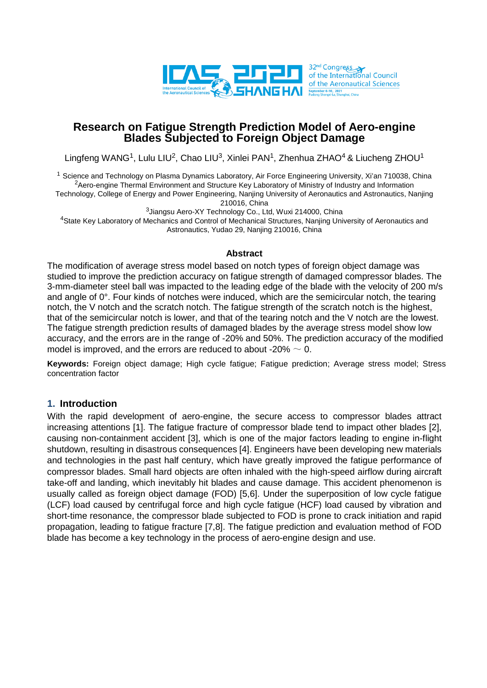

## **Research on Fatigue Strength Prediction Model of Aero-engine Blades Subjected to Foreign Object Damage**

Lingfeng WANG<sup>1</sup>, Lulu LIU<sup>2</sup>, Chao LIU<sup>3</sup>, Xinlei PAN<sup>1</sup>, Zhenhua ZHAO<sup>4</sup> & Liucheng ZHOU<sup>1</sup>

<sup>1</sup> Science and Technology on Plasma Dynamics Laboratory, Air Force Engineering University, Xi'an 710038, China <sup>2</sup>Aero-engine Thermal Environment and Structure Key Laboratory of Ministry of Industry and Information Technology, College of Energy and Power Engineering, Nanjing University of Aeronautics and Astronautics, Nanjing

210016, China

<sup>3</sup>Jiangsu Aero-XY Technology Co., Ltd, Wuxi 214000, China

4State Key Laboratory of Mechanics and Control of Mechanical Structures, Nanjing University of Aeronautics and Astronautics, Yudao 29, Nanjing 210016, China

#### **Abstract**

The modification of average stress model based on notch types of foreign object damage was studied to improve the prediction accuracy on fatigue strength of damaged compressor blades. The 3-mm-diameter steel ball was impacted to the leading edge of the blade with the velocity of 200 m/s and angle of 0°. Four kinds of notches were induced, which are the semicircular notch, the tearing notch, the V notch and the scratch notch. The fatigue strength of the scratch notch is the highest, that of the semicircular notch is lower, and that of the tearing notch and the V notch are the lowest. The fatigue strength prediction results of damaged blades by the average stress model show low accuracy, and the errors are in the range of -20% and 50%. The prediction accuracy of the modified model is improved, and the errors are reduced to about -20%  $\sim$  0.

**Keywords:** Foreign object damage; High cycle fatigue; Fatigue prediction; Average stress model; Stress concentration factor

## **1. Introduction**

With the rapid development of aero-engine, the secure access to compressor blades attract increasing attentions [1]. The fatigue fracture of compressor blade tend to impact other blades [2], causing non-containment accident [3], which is one of the major factors leading to engine in-flight shutdown, resulting in disastrous consequences [4]. Engineers have been developing new materials and technologies in the past half century, which have greatly improved the fatigue performance of compressor blades. Small hard objects are often inhaled with the high-speed airflow during aircraft take-off and landing, which inevitably hit blades and cause damage. This accident phenomenon is usually called as foreign object damage (FOD) [5,6]. Under the superposition of low cycle fatigue (LCF) load caused by centrifugal force and high cycle fatigue (HCF) load caused by vibration and short-time resonance, the compressor blade subjected to FOD is prone to crack initiation and rapid propagation, leading to fatigue fracture [7,8]. The fatigue prediction and evaluation method of FOD blade has become a key technology in the process of aero-engine design and use.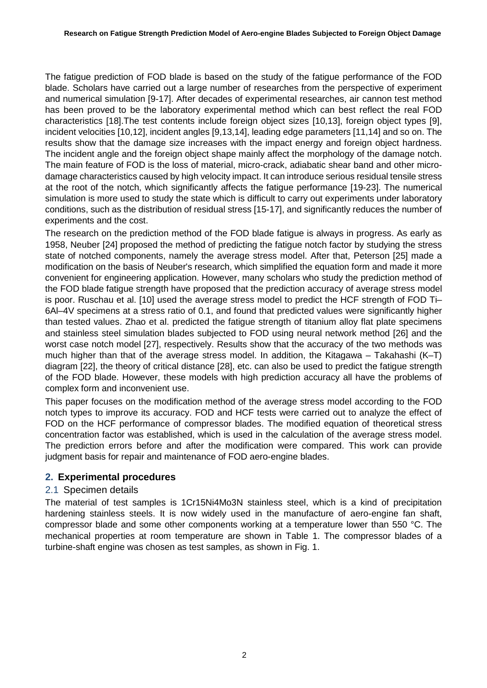The fatigue prediction of FOD blade is based on the study of the fatigue performance of the FOD blade. Scholars have carried out a large number of researches from the perspective of experiment and numerical simulation [9-17]. After decades of experimental researches, air cannon test method has been proved to be the laboratory experimental method which can best reflect the real FOD characteristics [18].The test contents include foreign object sizes [10,13], foreign object types [9], incident velocities [10,12], incident angles [9,13,14], leading edge parameters [11,14] and so on. The results show that the damage size increases with the impact energy and foreign object hardness. The incident angle and the foreign object shape mainly affect the morphology of the damage notch. The main feature of FOD is the loss of material, micro-crack, adiabatic shear band and other microdamage characteristics caused by high velocity impact. It can introduce serious residual tensile stress at the root of the notch, which significantly affects the fatigue performance [19-23]. The numerical simulation is more used to study the state which is difficult to carry out experiments under laboratory conditions, such as the distribution of residual stress [15-17], and significantly reduces the number of experiments and the cost.

The research on the prediction method of the FOD blade fatigue is always in progress. As early as 1958, Neuber [24] proposed the method of predicting the fatigue notch factor by studying the stress state of notched components, namely the average stress model. After that, Peterson [25] made a modification on the basis of Neuber's research, which simplified the equation form and made it more convenient for engineering application. However, many scholars who study the prediction method of the FOD blade fatigue strength have proposed that the prediction accuracy of average stress model is poor. Ruschau et al. [10] used the average stress model to predict the HCF strength of FOD Ti– 6Al–4V specimens at a stress ratio of 0.1, and found that predicted values were significantly higher than tested values. Zhao et al. predicted the fatigue strength of titanium alloy flat plate specimens and stainless steel simulation blades subjected to FOD using neural network method [26] and the worst case notch model [27], respectively. Results show that the accuracy of the two methods was much higher than that of the average stress model. In addition, the Kitagawa – Takahashi (K–T) diagram [22], the theory of critical distance [28], etc. can also be used to predict the fatigue strength of the FOD blade. However, these models with high prediction accuracy all have the problems of complex form and inconvenient use.

This paper focuses on the modification method of the average stress model according to the FOD notch types to improve its accuracy. FOD and HCF tests were carried out to analyze the effect of FOD on the HCF performance of compressor blades. The modified equation of theoretical stress concentration factor was established, which is used in the calculation of the average stress model. The prediction errors before and after the modification were compared. This work can provide judgment basis for repair and maintenance of FOD aero-engine blades.

## **2. Experimental procedures**

## 2.1 Specimen details

The material of test samples is 1Cr15Ni4Mo3N stainless steel, which is a kind of precipitation hardening stainless steels. It is now widely used in the manufacture of aero-engine fan shaft, compressor blade and some other components working at a temperature lower than 550 °C. The mechanical properties at room temperature are shown in Table 1. The compressor blades of a turbine-shaft engine was chosen as test samples, as shown in Fig. 1.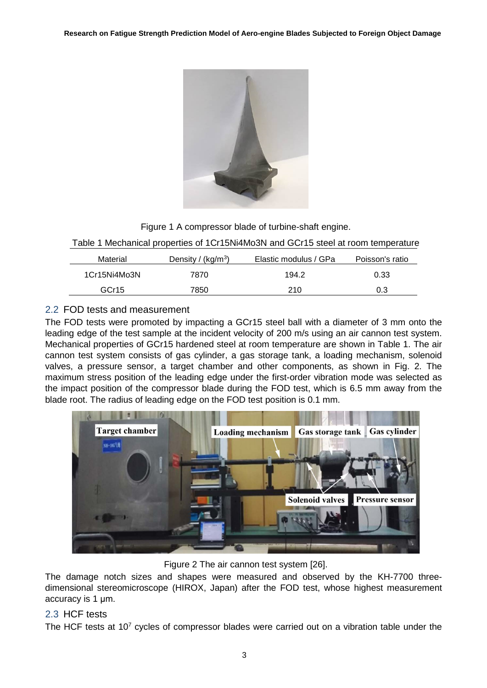

Figure 1 A compressor blade of turbine-shaft engine.

Table 1 Mechanical properties of 1Cr15Ni4Mo3N and GCr15 steel at room temperature

| Material          | Density / $(kq/m3)$ | Elastic modulus / GPa | Poisson's ratio |
|-------------------|---------------------|-----------------------|-----------------|
| 1Cr15Ni4Mo3N      | 7870                | 194.2                 | 0.33            |
| GCr <sub>15</sub> | 7850                | 210                   | 0.3             |

# 2.2 FOD tests and measurement

The FOD tests were promoted by impacting a GCr15 steel ball with a diameter of 3 mm onto the leading edge of the test sample at the incident velocity of 200 m/s using an air cannon test system. Mechanical properties of GCr15 hardened steel at room temperature are shown in Table 1. The air cannon test system consists of gas cylinder, a gas storage tank, a loading mechanism, solenoid valves, a pressure sensor, a target chamber and other components, as shown in Fig. 2. The maximum stress position of the leading edge under the first-order vibration mode was selected as the impact position of the compressor blade during the FOD test, which is 6.5 mm away from the blade root. The radius of leading edge on the FOD test position is 0.1 mm.



Figure 2 The air cannon test system [26].

The damage notch sizes and shapes were measured and observed by the KH-7700 threedimensional stereomicroscope (HIROX, Japan) after the FOD test, whose highest measurement accuracy is 1 μm.

## 2.3 HCF tests

The HCF tests at 107 cycles of compressor blades were carried out on a vibration table under the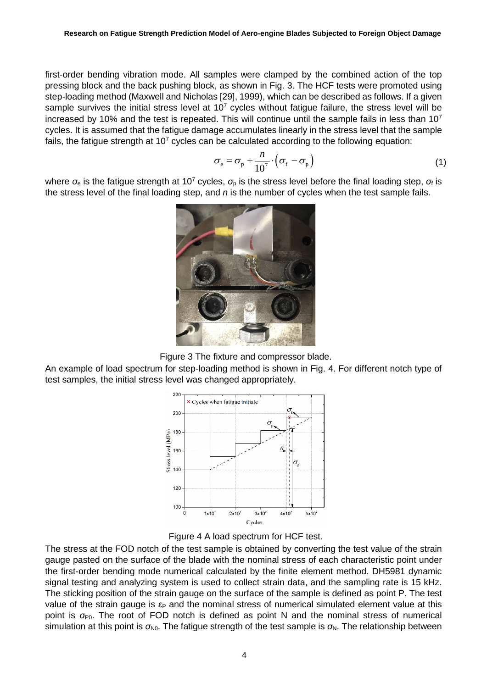first-order bending vibration mode. All samples were clamped by the combined action of the top pressing block and the back pushing block, as shown in Fig. 3. The HCF tests were promoted using step-loading method (Maxwell and Nicholas [29], 1999), which can be described as follows. If a given sample survives the initial stress level at  $10<sup>7</sup>$  cycles without fatigue failure, the stress level will be increased by 10% and the test is repeated. This will continue until the sample fails in less than  $10<sup>7</sup>$ cycles. It is assumed that the fatigue damage accumulates linearly in the stress level that the sample fails, the fatigue strength at  $10<sup>7</sup>$  cycles can be calculated according to the following equation:

$$
\sigma_{\rm e} = \sigma_{\rm p} + \frac{n}{10^7} \cdot \left( \sigma_{\rm f} - \sigma_{\rm p} \right) \tag{1}
$$

where  $\sigma_e$  is the fatigue strength at 10<sup>7</sup> cycles,  $\sigma_p$  is the stress level before the final loading step,  $\sigma_f$  is the stress level of the final loading step, and *n* is the number of cycles when the test sample fails.



Figure 3 The fixture and compressor blade.

An example of load spectrum for step-loading method is shown in Fig. 4. For different notch type of test samples, the initial stress level was changed appropriately.





The stress at the FOD notch of the test sample is obtained by converting the test value of the strain gauge pasted on the surface of the blade with the nominal stress of each characteristic point under the first-order bending mode numerical calculated by the finite element method. DH5981 dynamic signal testing and analyzing system is used to collect strain data, and the sampling rate is 15 kHz. The sticking position of the strain gauge on the surface of the sample is defined as point P. The test value of the strain gauge is  $\varepsilon_P$  and the nominal stress of numerical simulated element value at this point is  $\sigma_{P0}$ . The root of FOD notch is defined as point N and the nominal stress of numerical simulation at this point is  $\sigma_{N0}$ . The fatigue strength of the test sample is  $\sigma_N$ . The relationship between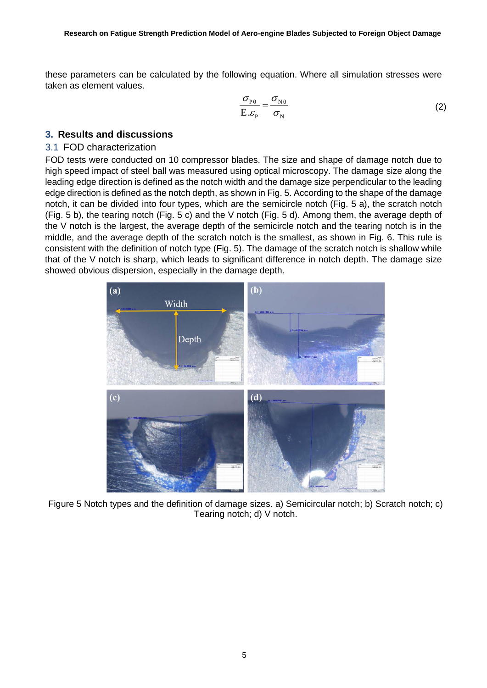these parameters can be calculated by the following equation. Where all simulation stresses were taken as element values.

$$
\frac{\sigma_{\rm p_0}}{\rm E} = \frac{\sigma_{\rm N0}}{\sigma_{\rm N}}
$$
 (2)

### **3. Results and discussions**

#### 3.1 FOD characterization

FOD tests were conducted on 10 compressor blades. The size and shape of damage notch due to high speed impact of steel ball was measured using optical microscopy. The damage size along the leading edge direction is defined as the notch width and the damage size perpendicular to the leading edge direction is defined as the notch depth, as shown in Fig. 5. According to the shape of the damage notch, it can be divided into four types, which are the semicircle notch (Fig. 5 a), the scratch notch (Fig. 5 b), the tearing notch (Fig. 5 c) and the V notch (Fig. 5 d). Among them, the average depth of the V notch is the largest, the average depth of the semicircle notch and the tearing notch is in the middle, and the average depth of the scratch notch is the smallest, as shown in Fig. 6. This rule is consistent with the definition of notch type (Fig. 5). The damage of the scratch notch is shallow while that of the V notch is sharp, which leads to significant difference in notch depth. The damage size showed obvious dispersion, especially in the damage depth.



Figure 5 Notch types and the definition of damage sizes. a) Semicircular notch; b) Scratch notch; c) Tearing notch; d) V notch.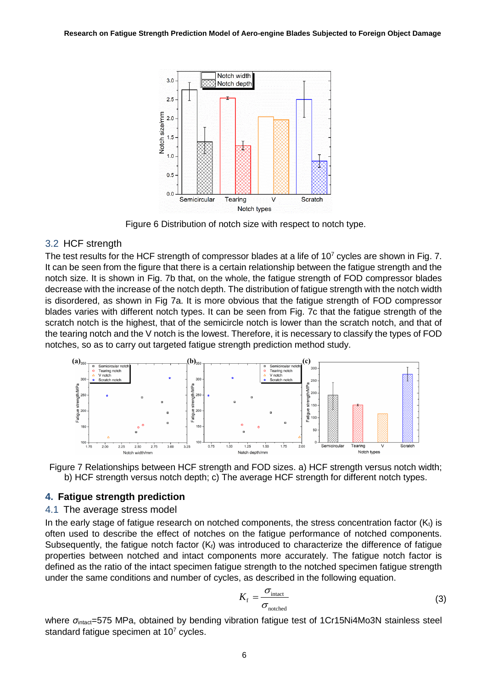

Figure 6 Distribution of notch size with respect to notch type.

## 3.2 HCF strength

The test results for the HCF strength of compressor blades at a life of  $10<sup>7</sup>$  cycles are shown in Fig. 7. It can be seen from the figure that there is a certain relationship between the fatigue strength and the notch size. It is shown in Fig. 7b that, on the whole, the fatigue strength of FOD compressor blades decrease with the increase of the notch depth. The distribution of fatigue strength with the notch width is disordered, as shown in Fig 7a. It is more obvious that the fatigue strength of FOD compressor blades varies with different notch types. It can be seen from Fig. 7c that the fatigue strength of the scratch notch is the highest, that of the semicircle notch is lower than the scratch notch, and that of the tearing notch and the V notch is the lowest. Therefore, it is necessary to classify the types of FOD notches, so as to carry out targeted fatigue strength prediction method study.





## **4. Fatigue strength prediction**

#### 4.1 The average stress model

In the early stage of fatigue research on notched components, the stress concentration factor  $(K_t)$  is often used to describe the effect of notches on the fatigue performance of notched components. Subsequently, the fatigue notch factor  $(K_f)$  was introduced to characterize the difference of fatigue properties between notched and intact components more accurately. The fatigue notch factor is defined as the ratio of the intact specimen fatigue strength to the notched specimen fatigue strength under the same conditions and number of cycles, as described in the following equation.

$$
K_{\rm f} = \frac{\sigma_{\rm intact}}{\sigma_{\rm notched}}
$$
 (3)

where σ<sub>intact</sub>=575 MPa, obtained by bending vibration fatigue test of 1Cr15Ni4Mo3N stainless steel standard fatique specimen at  $10<sup>7</sup>$  cycles.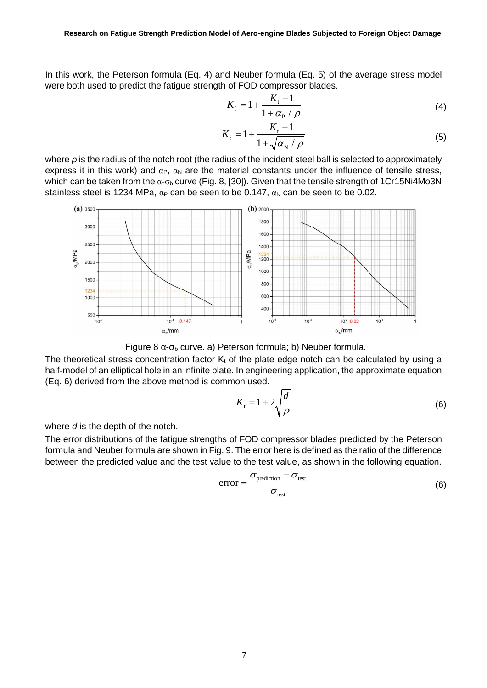In this work, the Peterson formula (Eq. 4) and Neuber formula (Eq. 5) of the average stress model were both used to predict the fatigue strength of FOD compressor blades.

$$
K_{\rm f} = 1 + \frac{K_{\rm t} - 1}{1 + \alpha_{\rm p} / \rho} \tag{4}
$$

$$
K_{\rm f} = 1 + \frac{K_{\rm t} - 1}{1 + \sqrt{\alpha_{\rm N} / \rho}}
$$
 (5)

where *ρ* is the radius of the notch root (the radius of the incident steel ball is selected to approximately express it in this work) and  $\alpha_P$ ,  $\alpha_N$  are the material constants under the influence of tensile stress, which can be taken from the  $\alpha$ - $\sigma_b$  curve (Fig. 8, [30]). Given that the tensile strength of 1Cr15Ni4Mo3N stainless steel is 1234 MPa,  $\alpha_P$  can be seen to be 0.147,  $\alpha_N$  can be seen to be 0.02.



Figure 8  $\alpha$ -σ<sub>b</sub> curve. a) Peterson formula; b) Neuber formula.

The theoretical stress concentration factor  $K_t$  of the plate edge notch can be calculated by using a half-model of an elliptical hole in an infinite plate. In engineering application, the approximate equation (Eq. 6) derived from the above method is common used.

$$
K_{t} = 1 + 2\sqrt{\frac{d}{\rho}}
$$
 (6)

where *d* is the depth of the notch.

The error distributions of the fatigue strengths of FOD compressor blades predicted by the Peterson formula and Neuber formula are shown in Fig. 9. The error here is defined as the ratio of the difference between the predicted value and the test value to the test value, as shown in the following equation.

$$
error = \frac{\sigma_{\text{prediction}} - \sigma_{\text{test}}}{\sigma_{\text{test}}}
$$
 (6)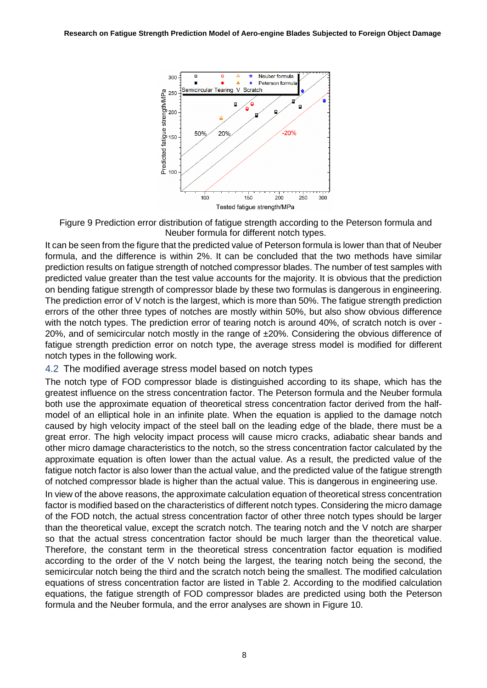

Figure 9 Prediction error distribution of fatigue strength according to the Peterson formula and Neuber formula for different notch types.

It can be seen from the figure that the predicted value of Peterson formula is lower than that of Neuber formula, and the difference is within 2%. It can be concluded that the two methods have similar prediction results on fatigue strength of notched compressor blades. The number of test samples with predicted value greater than the test value accounts for the majority. It is obvious that the prediction on bending fatigue strength of compressor blade by these two formulas is dangerous in engineering. The prediction error of V notch is the largest, which is more than 50%. The fatigue strength prediction errors of the other three types of notches are mostly within 50%, but also show obvious difference with the notch types. The prediction error of tearing notch is around 40%, of scratch notch is over - 20%, and of semicircular notch mostly in the range of ±20%. Considering the obvious difference of fatigue strength prediction error on notch type, the average stress model is modified for different notch types in the following work.

#### 4.2 The modified average stress model based on notch types

The notch type of FOD compressor blade is distinguished according to its shape, which has the greatest influence on the stress concentration factor. The Peterson formula and the Neuber formula both use the approximate equation of theoretical stress concentration factor derived from the halfmodel of an elliptical hole in an infinite plate. When the equation is applied to the damage notch caused by high velocity impact of the steel ball on the leading edge of the blade, there must be a great error. The high velocity impact process will cause micro cracks, adiabatic shear bands and other micro damage characteristics to the notch, so the stress concentration factor calculated by the approximate equation is often lower than the actual value. As a result, the predicted value of the fatigue notch factor is also lower than the actual value, and the predicted value of the fatigue strength of notched compressor blade is higher than the actual value. This is dangerous in engineering use.

In view of the above reasons, the approximate calculation equation of theoretical stress concentration factor is modified based on the characteristics of different notch types. Considering the micro damage of the FOD notch, the actual stress concentration factor of other three notch types should be larger than the theoretical value, except the scratch notch. The tearing notch and the V notch are sharper so that the actual stress concentration factor should be much larger than the theoretical value. Therefore, the constant term in the theoretical stress concentration factor equation is modified according to the order of the V notch being the largest, the tearing notch being the second, the semicircular notch being the third and the scratch notch being the smallest. The modified calculation equations of stress concentration factor are listed in Table 2. According to the modified calculation equations, the fatigue strength of FOD compressor blades are predicted using both the Peterson formula and the Neuber formula, and the error analyses are shown in Figure 10.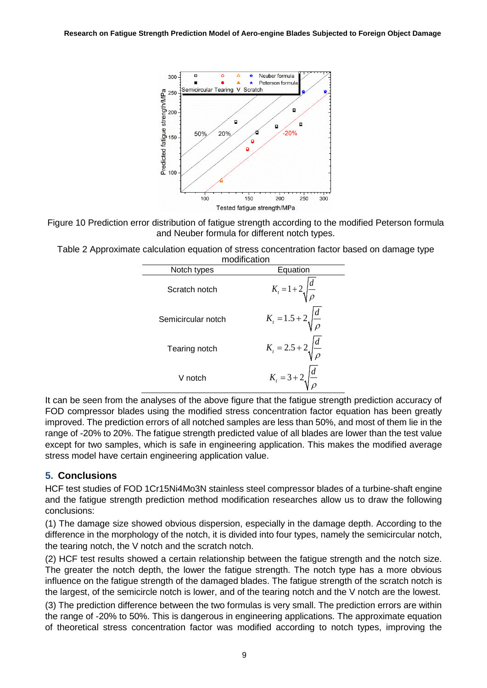

Figure 10 Prediction error distribution of fatigue strength according to the modified Peterson formula and Neuber formula for different notch types.

Table 2 Approximate calculation equation of stress concentration factor based on damage type

| modification       |                                       |  |  |
|--------------------|---------------------------------------|--|--|
| Notch types        | Equation                              |  |  |
| Scratch notch      | $K_{t} = 1 + 2 \sqrt{\frac{d}{\rho}}$ |  |  |
| Semicircular notch | $K_t = 1.5 + 2 \sqrt{\frac{d}{\rho}}$ |  |  |
| Tearing notch      | $K_t = 2.5 + 2 \sqrt{\frac{d}{\rho}}$ |  |  |
| V notch            | $K_t = 3 + 2 \sqrt{\frac{d}{\rho}}$   |  |  |

It can be seen from the analyses of the above figure that the fatigue strength prediction accuracy of FOD compressor blades using the modified stress concentration factor equation has been greatly improved. The prediction errors of all notched samples are less than 50%, and most of them lie in the range of -20% to 20%. The fatigue strength predicted value of all blades are lower than the test value except for two samples, which is safe in engineering application. This makes the modified average stress model have certain engineering application value.

## **5. Conclusions**

HCF test studies of FOD 1Cr15Ni4Mo3N stainless steel compressor blades of a turbine-shaft engine and the fatigue strength prediction method modification researches allow us to draw the following conclusions:

(1) The damage size showed obvious dispersion, especially in the damage depth. According to the difference in the morphology of the notch, it is divided into four types, namely the semicircular notch, the tearing notch, the V notch and the scratch notch.

(2) HCF test results showed a certain relationship between the fatigue strength and the notch size. The greater the notch depth, the lower the fatigue strength. The notch type has a more obvious influence on the fatigue strength of the damaged blades. The fatigue strength of the scratch notch is the largest, of the semicircle notch is lower, and of the tearing notch and the V notch are the lowest.

(3) The prediction difference between the two formulas is very small. The prediction errors are within the range of -20% to 50%. This is dangerous in engineering applications. The approximate equation of theoretical stress concentration factor was modified according to notch types, improving the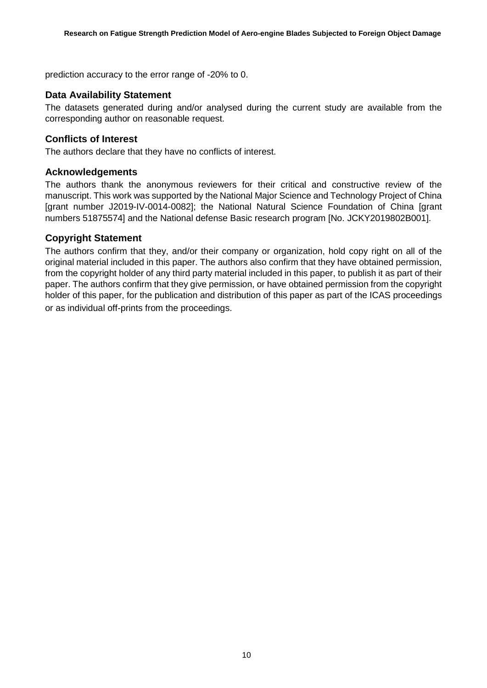prediction accuracy to the error range of -20% to 0.

### **Data Availability Statement**

The datasets generated during and/or analysed during the current study are available from the corresponding author on reasonable request.

#### **Conflicts of Interest**

The authors declare that they have no conflicts of interest.

#### **Acknowledgements**

The authors thank the anonymous reviewers for their critical and constructive review of the manuscript. This work was supported by the National Major Science and Technology Project of China [grant number J2019-IV-0014-0082]; the National Natural Science Foundation of China [grant numbers 51875574] and the National defense Basic research program [No. JCKY2019802B001].

### **Copyright Statement**

The authors confirm that they, and/or their company or organization, hold copy right on all of the original material included in this paper. The authors also confirm that they have obtained permission, from the copyright holder of any third party material included in this paper, to publish it as part of their paper. The authors confirm that they give permission, or have obtained permission from the copyright holder of this paper, for the publication and distribution of this paper as part of the ICAS proceedings or as individual off-prints from the proceedings.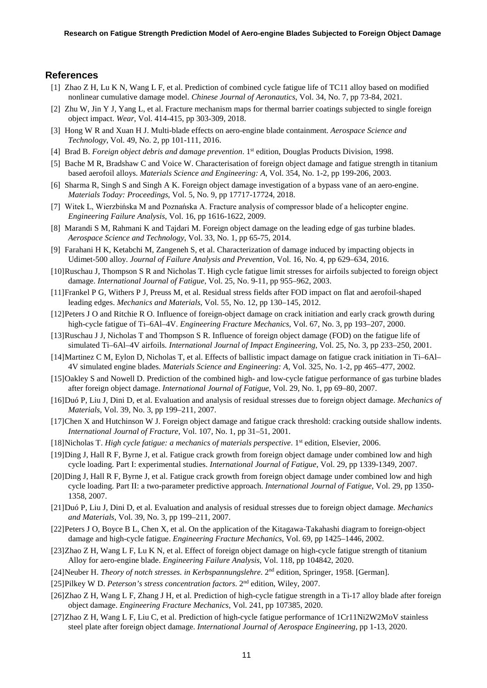#### **References**

- [1] Zhao Z H, Lu K N, Wang L F, et al. Prediction of combined cycle fatigue life of TC11 alloy based on modified nonlinear cumulative damage model. *Chinese Journal of Aeronautics*, Vol. 34, No. 7, pp 73-84, 2021.
- [2] Zhu W, Jin Y J, Yang L, et al. Fracture mechanism maps for thermal barrier coatings subjected to single foreign object impact. *Wear*, Vol. 414-415, pp 303-309, 2018.
- [3] Hong W R and Xuan H J. Multi-blade effects on aero-engine blade containment. *Aerospace Science and Technology*, Vol. 49, No. 2, pp 101-111, 2016.
- [4] Brad B. *Foreign object debris and damage prevention*. 1st edition, Douglas Products Division, 1998.
- [5] Bache M R, Bradshaw C and Voice W. Characterisation of foreign object damage and fatigue strength in titanium based aerofoil alloys. *Materials Science and Engineering: A*, Vol. 354, No. 1-2, pp 199-206, 2003.
- [6] Sharma R, Singh S and Singh A K. Foreign object damage investigation of a bypass vane of an aero-engine. *Materials Today: Proceedings*, Vol. 5, No. 9, pp 17717-17724, 2018.
- [7] Witek L, Wierzbińska M and Poznańska A. Fracture analysis of compressor blade of a helicopter engine. *Engineering Failure Analysis*, Vol. 16, pp 1616-1622, 2009.
- [8] Marandi S M, Rahmani K and Tajdari M. Foreign object damage on the leading edge of gas turbine blades. *Aerospace Science and Technology*, Vol. 33, No. 1, pp 65-75, 2014.
- [9] Farahani H K, Ketabchi M, Zangeneh S, et al. Characterization of damage induced by impacting objects in Udimet-500 alloy. *Journal of Failure Analysis and Prevention*, Vol. 16, No. 4, pp 629–634, 2016.
- [10]Ruschau J, Thompson S R and Nicholas T. High cycle fatigue limit stresses for airfoils subjected to foreign object damage. *International Journal of Fatigue*, Vol. 25, No. 9-11, pp 955–962, 2003.
- [11]Frankel P G, Withers P J, Preuss M, et al. Residual stress fields after FOD impact on flat and aerofoil-shaped leading edges. *Mechanics and Materials*, Vol. 55, No. 12, pp 130–145, 2012.
- [12]Peters J O and Ritchie R O. Influence of foreign-object damage on crack initiation and early crack growth during high-cycle fatigue of Ti–6Al–4V. *Engineering Fracture Mechanics*, Vol. 67, No. 3, pp 193–207, 2000.
- [13]Ruschau J J, Nicholas T and Thompson S R. Influence of foreign object damage (FOD) on the fatigue life of simulated Ti–6Al–4V airfoils. *International Journal of Impact Engineering*, Vol. 25, No. 3, pp 233–250, 2001.
- [14]Martinez C M, Eylon D, Nicholas T, et al. Effects of ballistic impact damage on fatigue crack initiation in Ti–6Al– 4V simulated engine blades. *Materials Science and Engineering: A*, Vol. 325, No. 1-2, pp 465–477, 2002.
- [15]Oakley S and Nowell D. Prediction of the combined high- and low-cycle fatigue performance of gas turbine blades after foreign object damage. *International Journal of Fatigue*, Vol. 29, No. 1, pp 69–80, 2007.
- [16]Duó P, Liu J, Dini D, et al. Evaluation and analysis of residual stresses due to foreign object damage. *Mechanics of Materials*, Vol. 39, No. 3, pp 199–211, 2007.
- [17]Chen X and Hutchinson W J. Foreign object damage and fatigue crack threshold: cracking outside shallow indents. *International Journal of Fracture*, Vol. 107, No. 1, pp 31–51, 2001.
- [18]Nicholas T. *High cycle fatigue: a mechanics of materials perspective*. 1st edition, Elsevier, 2006.
- [19]Ding J, Hall R F, Byrne J, et al. Fatigue crack growth from foreign object damage under combined low and high cycle loading. Part I: experimental studies. *International Journal of Fatigue*, Vol. 29, pp 1339-1349, 2007.
- [20]Ding J, Hall R F, Byrne J, et al. Fatigue crack growth from foreign object damage under combined low and high cycle loading. Part II: a two-parameter predictive approach. *International Journal of Fatigue*, Vol. 29, pp 1350- 1358, 2007.
- [21]Duó P, Liu J, Dini D, et al. Evaluation and analysis of residual stresses due to foreign object damage. *Mechanics and Materials*, Vol. 39, No. 3, pp 199–211, 2007.
- [22]Peters J O, Boyce B L, Chen X, et al. On the application of the Kitagawa-Takahashi diagram to foreign-object damage and high-cycle fatigue. *Engineering Fracture Mechanics*, Vol. 69, pp 1425–1446, 2002.
- [23]Zhao Z H, Wang L F, Lu K N, et al. Effect of foreign object damage on high-cycle fatigue strength of titanium Alloy for aero-engine blade. *Engineering Failure Analysis*, Vol. 118, pp 104842, 2020.
- [24]Neuber H. *Theory of notch stresses. in Kerbspannungslehre*. 2nd edition, Springer, 1958. [German].
- [25]Pilkey W D. *Peterson's stress concentration factors*. 2nd edition, Wiley, 2007.
- [26]Zhao Z H, Wang L F, Zhang J H, et al. Prediction of high-cycle fatigue strength in a Ti-17 alloy blade after foreign object damage. *Engineering Fracture Mechanics*, Vol. 241, pp 107385, 2020.
- [27]Zhao Z H, Wang L F, Liu C, et al. Prediction of high-cycle fatigue performance of 1Cr11Ni2W2MoV stainless steel plate after foreign object damage. *International Journal of Aerospace Engineering*, pp 1-13, 2020.